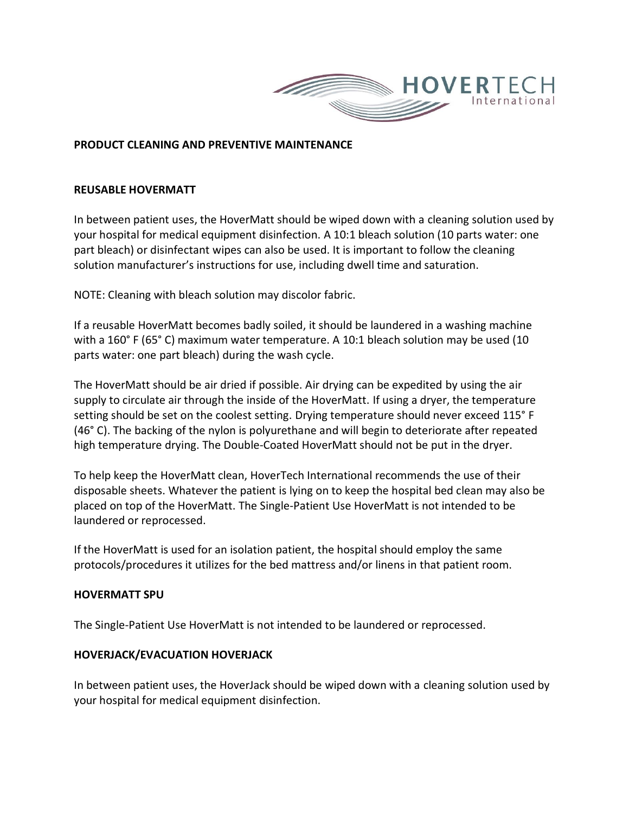

#### **PRODUCT CLEANING AND PREVENTIVE MAINTENANCE**

#### **REUSABLE HOVERMATT**

In between patient uses, the HoverMatt should be wiped down with a cleaning solution used by your hospital for medical equipment disinfection. A 10:1 bleach solution (10 parts water: one part bleach) or disinfectant wipes can also be used. It is important to follow the cleaning solution manufacturer's instructions for use, including dwell time and saturation.

NOTE: Cleaning with bleach solution may discolor fabric.

If a reusable HoverMatt becomes badly soiled, it should be laundered in a washing machine with a 160° F (65° C) maximum water temperature. A 10:1 bleach solution may be used (10 parts water: one part bleach) during the wash cycle.

The HoverMatt should be air dried if possible. Air drying can be expedited by using the air supply to circulate air through the inside of the HoverMatt. If using a dryer, the temperature setting should be set on the coolest setting. Drying temperature should never exceed 115° F (46° C). The backing of the nylon is polyurethane and will begin to deteriorate after repeated high temperature drying. The Double-Coated HoverMatt should not be put in the dryer.

To help keep the HoverMatt clean, HoverTech International recommends the use of their disposable sheets. Whatever the patient is lying on to keep the hospital bed clean may also be placed on top of the HoverMatt. The Single-Patient Use HoverMatt is not intended to be laundered or reprocessed.

If the HoverMatt is used for an isolation patient, the hospital should employ the same protocols/procedures it utilizes for the bed mattress and/or linens in that patient room.

#### **HOVERMATT SPU**

The Single-Patient Use HoverMatt is not intended to be laundered or reprocessed.

### **HOVERJACK/EVACUATION HOVERJACK**

In between patient uses, the HoverJack should be wiped down with a cleaning solution used by your hospital for medical equipment disinfection.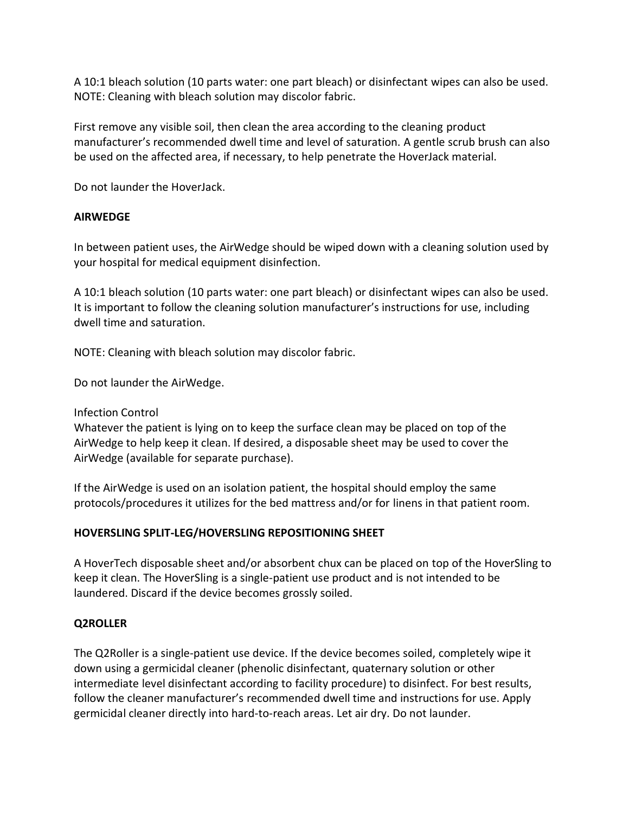A 10:1 bleach solution (10 parts water: one part bleach) or disinfectant wipes can also be used. NOTE: Cleaning with bleach solution may discolor fabric.

First remove any visible soil, then clean the area according to the cleaning product manufacturer's recommended dwell time and level of saturation. A gentle scrub brush can also be used on the affected area, if necessary, to help penetrate the HoverJack material.

Do not launder the HoverJack.

# **AIRWEDGE**

In between patient uses, the AirWedge should be wiped down with a cleaning solution used by your hospital for medical equipment disinfection.

A 10:1 bleach solution (10 parts water: one part bleach) or disinfectant wipes can also be used. It is important to follow the cleaning solution manufacturer's instructions for use, including dwell time and saturation.

NOTE: Cleaning with bleach solution may discolor fabric.

Do not launder the AirWedge.

Infection Control

Whatever the patient is lying on to keep the surface clean may be placed on top of the AirWedge to help keep it clean. If desired, a disposable sheet may be used to cover the AirWedge (available for separate purchase).

If the AirWedge is used on an isolation patient, the hospital should employ the same protocols/procedures it utilizes for the bed mattress and/or for linens in that patient room.

## **HOVERSLING SPLIT-LEG/HOVERSLING REPOSITIONING SHEET**

A HoverTech disposable sheet and/or absorbent chux can be placed on top of the HoverSling to keep it clean. The HoverSling is a single-patient use product and is not intended to be laundered. Discard if the device becomes grossly soiled.

## **Q2ROLLER**

The Q2Roller is a single-patient use device. If the device becomes soiled, completely wipe it down using a germicidal cleaner (phenolic disinfectant, quaternary solution or other intermediate level disinfectant according to facility procedure) to disinfect. For best results, follow the cleaner manufacturer's recommended dwell time and instructions for use. Apply germicidal cleaner directly into hard-to-reach areas. Let air dry. Do not launder.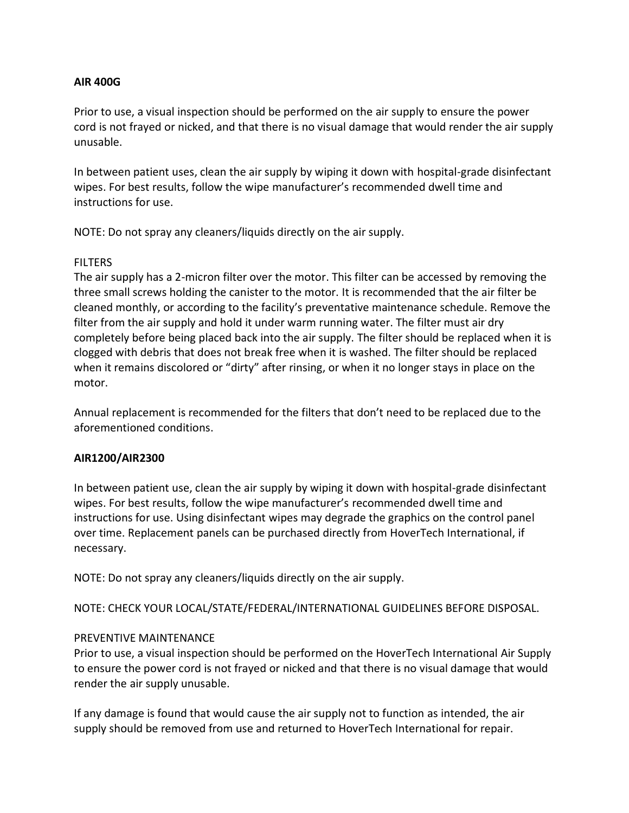### **AIR 400G**

Prior to use, a visual inspection should be performed on the air supply to ensure the power cord is not frayed or nicked, and that there is no visual damage that would render the air supply unusable.

In between patient uses, clean the air supply by wiping it down with hospital-grade disinfectant wipes. For best results, follow the wipe manufacturer's recommended dwell time and instructions for use.

NOTE: Do not spray any cleaners/liquids directly on the air supply.

## **FILTERS**

The air supply has a 2-micron filter over the motor. This filter can be accessed by removing the three small screws holding the canister to the motor. It is recommended that the air filter be cleaned monthly, or according to the facility's preventative maintenance schedule. Remove the filter from the air supply and hold it under warm running water. The filter must air dry completely before being placed back into the air supply. The filter should be replaced when it is clogged with debris that does not break free when it is washed. The filter should be replaced when it remains discolored or "dirty" after rinsing, or when it no longer stays in place on the motor.

Annual replacement is recommended for the filters that don't need to be replaced due to the aforementioned conditions.

### **AIR1200/AIR2300**

In between patient use, clean the air supply by wiping it down with hospital-grade disinfectant wipes. For best results, follow the wipe manufacturer's recommended dwell time and instructions for use. Using disinfectant wipes may degrade the graphics on the control panel over time. Replacement panels can be purchased directly from HoverTech International, if necessary.

NOTE: Do not spray any cleaners/liquids directly on the air supply.

NOTE: CHECK YOUR LOCAL/STATE/FEDERAL/INTERNATIONAL GUIDELINES BEFORE DISPOSAL.

### PREVENTIVE MAINTENANCE

Prior to use, a visual inspection should be performed on the HoverTech International Air Supply to ensure the power cord is not frayed or nicked and that there is no visual damage that would render the air supply unusable.

If any damage is found that would cause the air supply not to function as intended, the air supply should be removed from use and returned to HoverTech International for repair.